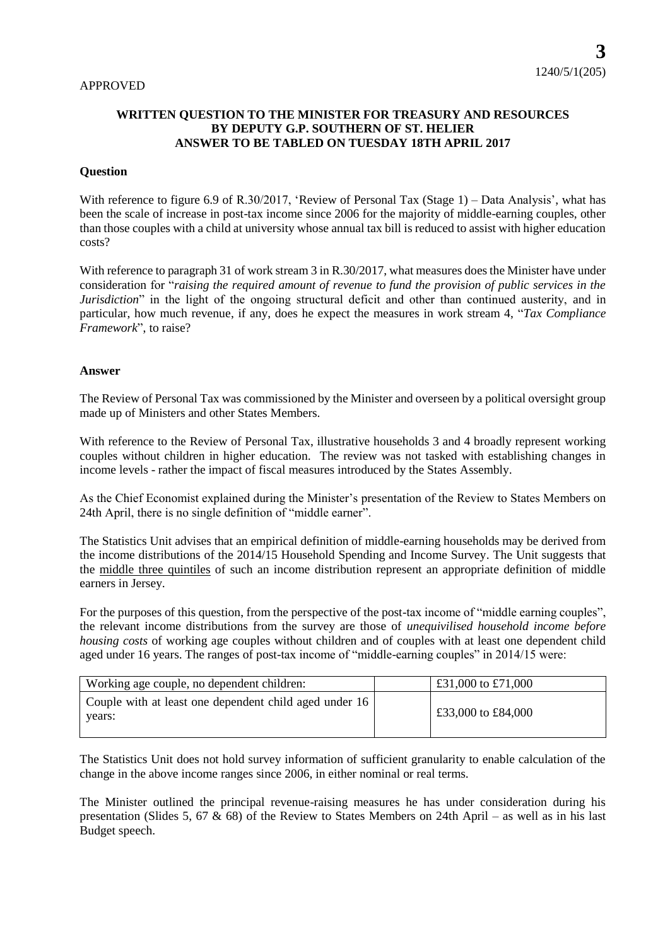## **WRITTEN QUESTION TO THE MINISTER FOR TREASURY AND RESOURCES BY DEPUTY G.P. SOUTHERN OF ST. HELIER ANSWER TO BE TABLED ON TUESDAY 18TH APRIL 2017**

## **Question**

With reference to figure 6.9 of R.30/2017, 'Review of Personal Tax (Stage 1) – Data Analysis', what has been the scale of increase in post-tax income since 2006 for the majority of middle-earning couples, other than those couples with a child at university whose annual tax bill is reduced to assist with higher education costs?

With reference to paragraph 31 of work stream 3 in R.30/2017, what measures does the Minister have under consideration for "*raising the required amount of revenue to fund the provision of public services in the Jurisdiction*" in the light of the ongoing structural deficit and other than continued austerity, and in particular, how much revenue, if any, does he expect the measures in work stream 4, "*Tax Compliance Framework*", to raise?

## **Answer**

The Review of Personal Tax was commissioned by the Minister and overseen by a political oversight group made up of Ministers and other States Members.

With reference to the Review of Personal Tax, illustrative households 3 and 4 broadly represent working couples without children in higher education. The review was not tasked with establishing changes in income levels - rather the impact of fiscal measures introduced by the States Assembly.

As the Chief Economist explained during the Minister's presentation of the Review to States Members on 24th April, there is no single definition of "middle earner".

The Statistics Unit advises that an empirical definition of middle-earning households may be derived from the income distributions of the 2014/15 Household Spending and Income Survey. The Unit suggests that the middle three quintiles of such an income distribution represent an appropriate definition of middle earners in Jersey.

For the purposes of this question, from the perspective of the post-tax income of "middle earning couples", the relevant income distributions from the survey are those of *unequivilised household income before housing costs* of working age couples without children and of couples with at least one dependent child aged under 16 years. The ranges of post-tax income of "middle-earning couples" in 2014/15 were:

| Working age couple, no dependent children:                       | £31,000 to £71,000 |
|------------------------------------------------------------------|--------------------|
| Couple with at least one dependent child aged under 16<br>vears: | £33,000 to £84,000 |

The Statistics Unit does not hold survey information of sufficient granularity to enable calculation of the change in the above income ranges since 2006, in either nominal or real terms.

The Minister outlined the principal revenue-raising measures he has under consideration during his presentation (Slides 5, 67 & 68) of the Review to States Members on 24th April – as well as in his last Budget speech.